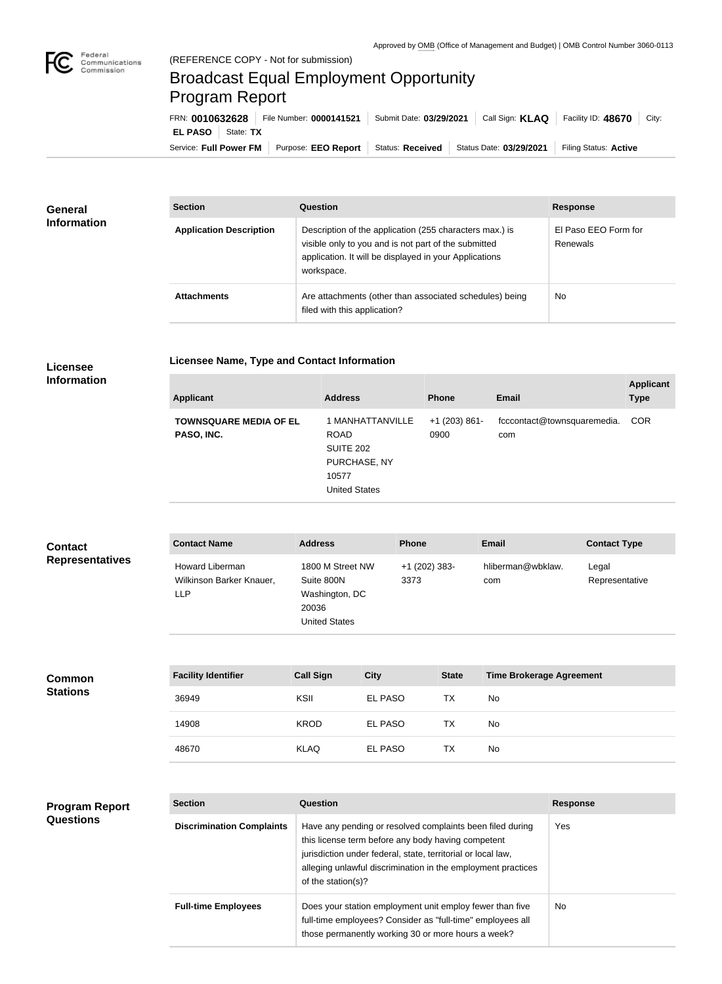

## Broadcast Equal Employment Opportunity Program Report

**Licensee Name, Type and Contact Information**

| FRN: 0010632628            | File Number: 0000141521                                                                   | Submit Date: 03/29/2021 | Call Sign: KLAQ   Facility ID: 48670 | City: |
|----------------------------|-------------------------------------------------------------------------------------------|-------------------------|--------------------------------------|-------|
| <b>EL PASO</b>   State: TX |                                                                                           |                         |                                      |       |
|                            | Service: Full Power FM   Purpose: EEO Report   Status: Received   Status Date: 03/29/2021 |                         | Filing Status: Active                |       |

| <b>General</b><br><b>Information</b> | <b>Section</b>                 | Question                                                                                                                                                                                | <b>Response</b>                  |
|--------------------------------------|--------------------------------|-----------------------------------------------------------------------------------------------------------------------------------------------------------------------------------------|----------------------------------|
|                                      | <b>Application Description</b> | Description of the application (255 characters max.) is<br>visible only to you and is not part of the submitted<br>application. It will be displayed in your Applications<br>workspace. | El Paso EEO Form for<br>Renewals |
|                                      | <b>Attachments</b>             | Are attachments (other than associated schedules) being<br>filed with this application?                                                                                                 | <b>No</b>                        |

## **Licensee Information**

| <b>Applicant</b>                                                    | <b>Address</b>                                                               | <b>Phone</b>            | <b>Email</b>                       | <b>Applicant</b><br><b>Type</b> |
|---------------------------------------------------------------------|------------------------------------------------------------------------------|-------------------------|------------------------------------|---------------------------------|
| <b>TOWNSQUARE MEDIA OF EL</b><br><b>ROAD</b><br>PASO, INC.<br>10577 | 1 MANHATTANVILLE<br><b>SUITE 202</b><br>PURCHASE, NY<br><b>United States</b> | $+1$ (203) 861-<br>0900 | fcccontact@townsquaremedia.<br>com | <b>COR</b>                      |

| <b>Contact</b><br><b>Representatives</b>  | <b>Contact Name</b>                                       | <b>Address</b>                                                                    |             | <b>Phone</b>          |              | <b>Email</b>                    |                   | <b>Contact Type</b>     |
|-------------------------------------------|-----------------------------------------------------------|-----------------------------------------------------------------------------------|-------------|-----------------------|--------------|---------------------------------|-------------------|-------------------------|
|                                           | Howard Liberman<br>Wilkinson Barker Knauer,<br><b>LLP</b> | 1800 M Street NW<br>Suite 800N<br>Washington, DC<br>20036<br><b>United States</b> |             | +1 (202) 383-<br>3373 |              | hliberman@wbklaw.<br>com        |                   | Legal<br>Representative |
| <b>Common</b><br><b>Stations</b>          | <b>Facility Identifier</b>                                | <b>Call Sign</b>                                                                  | <b>City</b> |                       | <b>State</b> | <b>Time Brokerage Agreement</b> |                   |                         |
|                                           | 36949                                                     | KSII                                                                              | EL PASO     |                       | <b>TX</b>    | <b>No</b>                       |                   |                         |
|                                           | 14908                                                     | <b>KROD</b>                                                                       | EL PASO     |                       | <b>TX</b>    | No                              |                   |                         |
|                                           | 48670                                                     | <b>KLAQ</b>                                                                       | EL PASO     |                       | <b>TX</b>    | No                              |                   |                         |
|                                           |                                                           |                                                                                   |             |                       |              |                                 |                   |                         |
| <b>Program Report</b><br><b>Questions</b> | <b>Section</b>                                            | Question                                                                          |             |                       |              |                                 | <b>Response</b>   |                         |
|                                           | Diecrimination Complainte                                 | Have any pending or resolved complaints been filed during                         |             |                       |              |                                 | $V_{\mathbf{Q}e}$ |                         |

| <b>Section</b>                   | Question                                                                                                                                                                                                                                                              | <b>Response</b> |  |
|----------------------------------|-----------------------------------------------------------------------------------------------------------------------------------------------------------------------------------------------------------------------------------------------------------------------|-----------------|--|
| <b>Discrimination Complaints</b> | Have any pending or resolved complaints been filed during<br>this license term before any body having competent<br>jurisdiction under federal, state, territorial or local law,<br>alleging unlawful discrimination in the employment practices<br>of the station(s)? | Yes             |  |
| <b>Full-time Employees</b>       | Does your station employment unit employ fewer than five<br>full-time employees? Consider as "full-time" employees all<br>those permanently working 30 or more hours a week?                                                                                          | No.             |  |